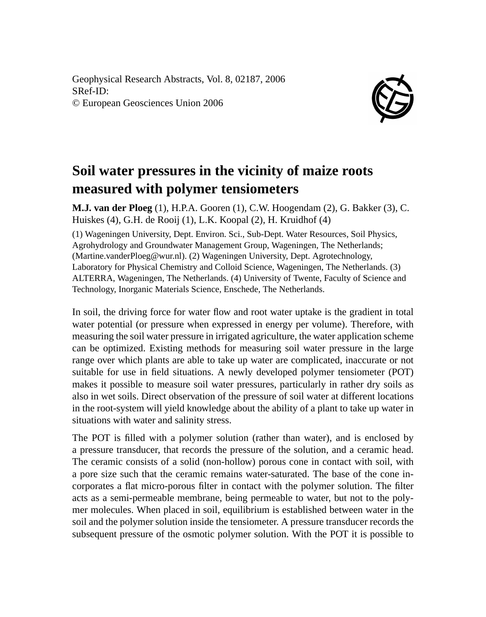Geophysical Research Abstracts, Vol. 8, 02187, 2006 SRef-ID: © European Geosciences Union 2006



## **Soil water pressures in the vicinity of maize roots measured with polymer tensiometers**

**M.J. van der Ploeg** (1), H.P.A. Gooren (1), C.W. Hoogendam (2), G. Bakker (3), C. Huiskes (4), G.H. de Rooij (1), L.K. Koopal (2), H. Kruidhof (4) (1) Wageningen University, Dept. Environ. Sci., Sub-Dept. Water Resources, Soil Physics, Agrohydrology and Groundwater Management Group, Wageningen, The Netherlands; (Martine.vanderPloeg@wur.nl). (2) Wageningen University, Dept. Agrotechnology, Laboratory for Physical Chemistry and Colloid Science, Wageningen, The Netherlands. (3) ALTERRA, Wageningen, The Netherlands. (4) University of Twente, Faculty of Science and Technology, Inorganic Materials Science, Enschede, The Netherlands.

In soil, the driving force for water flow and root water uptake is the gradient in total water potential (or pressure when expressed in energy per volume). Therefore, with measuring the soil water pressure in irrigated agriculture, the water application scheme can be optimized. Existing methods for measuring soil water pressure in the large range over which plants are able to take up water are complicated, inaccurate or not suitable for use in field situations. A newly developed polymer tensiometer (POT) makes it possible to measure soil water pressures, particularly in rather dry soils as also in wet soils. Direct observation of the pressure of soil water at different locations in the root-system will yield knowledge about the ability of a plant to take up water in situations with water and salinity stress.

The POT is filled with a polymer solution (rather than water), and is enclosed by a pressure transducer, that records the pressure of the solution, and a ceramic head. The ceramic consists of a solid (non-hollow) porous cone in contact with soil, with a pore size such that the ceramic remains water-saturated. The base of the cone incorporates a flat micro-porous filter in contact with the polymer solution. The filter acts as a semi-permeable membrane, being permeable to water, but not to the polymer molecules. When placed in soil, equilibrium is established between water in the soil and the polymer solution inside the tensiometer. A pressure transducer records the subsequent pressure of the osmotic polymer solution. With the POT it is possible to